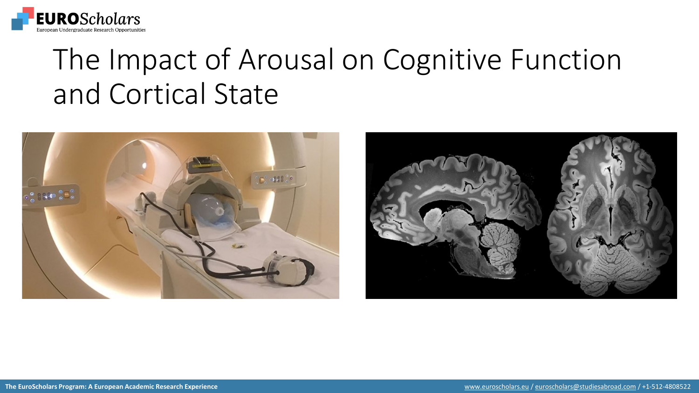

### The Impact of Arousal on Cognitive Function and Cortical State



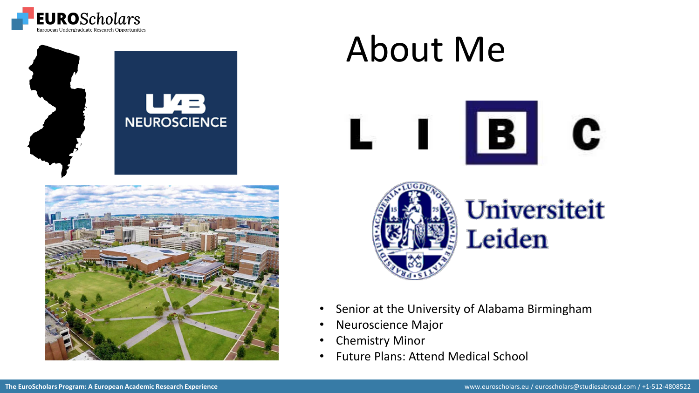



# About Me





Universiteit Leiden

- Senior at the University of Alabama Birmingham
- Neuroscience Major
- **Chemistry Minor**
- Future Plans: Attend Medical School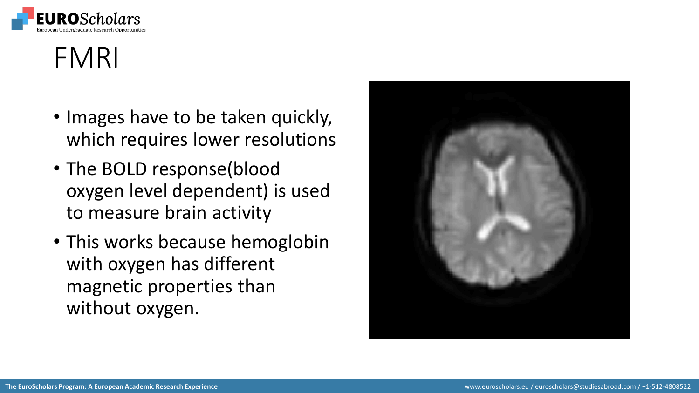

#### FMRI

- Images have to be taken quickly, which requires lower resolutions
- The BOLD response(blood oxygen level dependent) is used to measure brain activity
- This works because hemoglobin with oxygen has different magnetic properties than without oxygen.

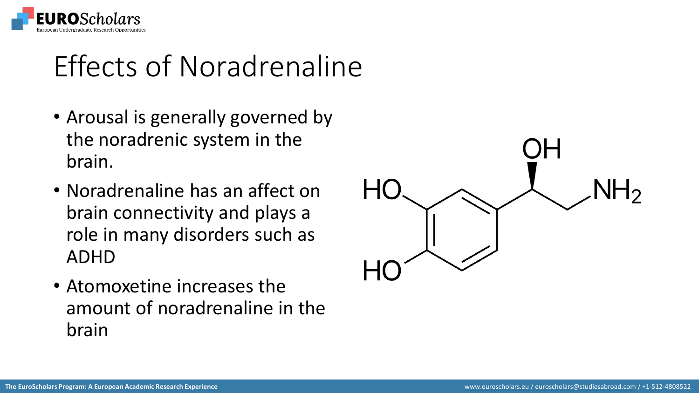

### Effects of Noradrenaline

- Arousal is generally governed by the noradrenic system in the brain.
- Noradrenaline has an affect on brain connectivity and plays a role in many disorders such as ADHD
- Atomoxetine increases the amount of noradrenaline in the brain

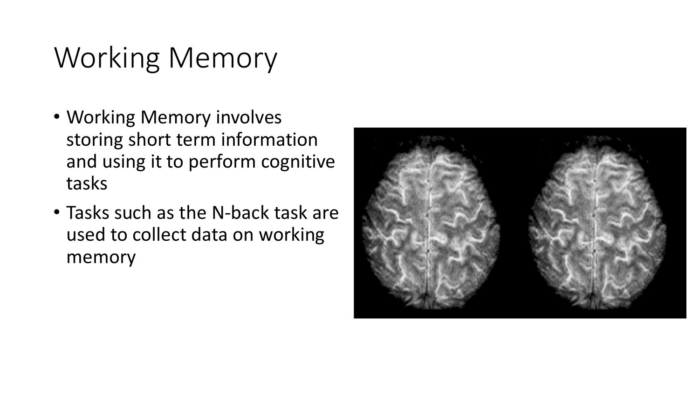## Working Memory

- Working Memory involves storing short term information and using it to perform cognitive tasks
- Tasks such as the N-back task are used to collect data on working memory